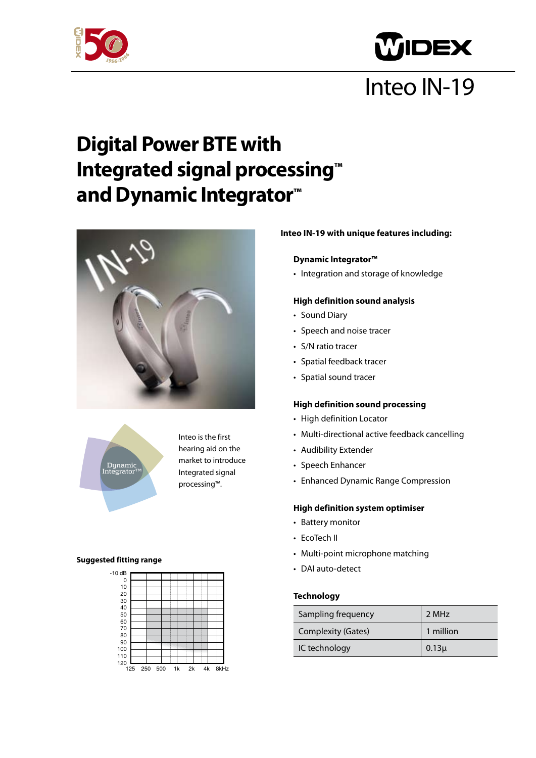



# Inteo IN-19

### **Digital Power BTE with Integrated signal processing™ and Dynamic Integrator™**

Inteo is the first hearing aid on the market to introduce Integrated signal processing™.





**Suggested fitting range**

#### 125 250 500 1k 2k 4k 8kHz 0 10  $20$ 30 40  $50$ 60 70 80 90 100 110 120  $-10$  dB

### **Inteo IN-19 with unique features including:**

#### **Dynamic Integrator™**

• Integration and storage of knowledge

#### **High definition sound analysis**

- Sound Diary
- Speech and noise tracer
- • S/N ratio tracer
- Spatial feedback tracer
- • Spatial sound tracer

#### **High definition sound processing**

- • High definition Locator
- Multi-directional active feedback cancelling
- • Audibility Extender
- Speech Enhancer
- Enhanced Dynamic Range Compression

#### **High definition system optimiser**

- Battery monitor
- EcoTech II
- Multi-point microphone matching
- DAI auto-detect

#### **Technology**

| Sampling frequency        | 2 MHz     |
|---------------------------|-----------|
| <b>Complexity (Gates)</b> | 1 million |
| IC technology             | $0.13\mu$ |